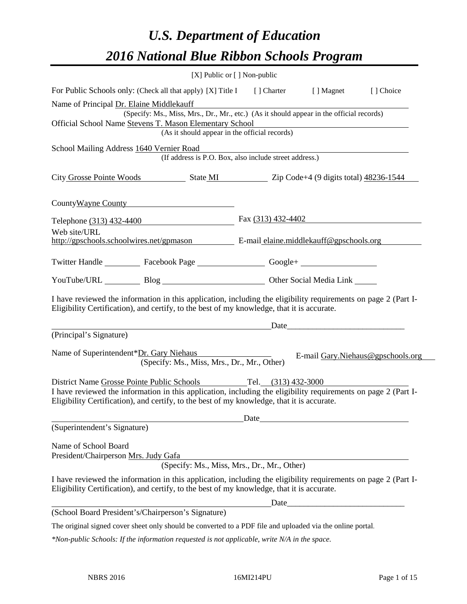# *U.S. Department of Education 2016 National Blue Ribbon Schools Program*

|                                                                                                                                                                                                              | [X] Public or [] Non-public |                                             |                                   |
|--------------------------------------------------------------------------------------------------------------------------------------------------------------------------------------------------------------|-----------------------------|---------------------------------------------|-----------------------------------|
| For Public Schools only: (Check all that apply) [X] Title I [] Charter                                                                                                                                       |                             | [ ] Magnet                                  | [] Choice                         |
| Name of Principal Dr. Elaine Middlekauff                                                                                                                                                                     |                             |                                             |                                   |
| (Specify: Ms., Miss, Mrs., Dr., Mr., etc.) (As it should appear in the official records)                                                                                                                     |                             |                                             |                                   |
| Official School Name Stevens T. Mason Elementary School                                                                                                                                                      |                             |                                             |                                   |
| (As it should appear in the official records)                                                                                                                                                                |                             |                                             |                                   |
| School Mailing Address 1640 Vernier Road<br>(If address is P.O. Box, also include street address.)                                                                                                           |                             |                                             |                                   |
| City Grosse Pointe Woods State MI Zip Code+4 (9 digits total) 48236-1544                                                                                                                                     |                             |                                             |                                   |
| County Wayne County                                                                                                                                                                                          |                             |                                             |                                   |
| Telephone (313) 432-4400 Fax (313) 432-4402                                                                                                                                                                  |                             |                                             |                                   |
| Web site/URL                                                                                                                                                                                                 |                             |                                             |                                   |
| http://gpschools.schoolwires.net/gpmason E-mail elaine.middlekauff@gpschools.org                                                                                                                             |                             |                                             |                                   |
| Twitter Handle ____________ Facebook Page _____________________ Google+ ____________________________                                                                                                         |                             |                                             |                                   |
| YouTube/URL Blog Blog Discount Cher Social Media Link                                                                                                                                                        |                             |                                             |                                   |
| I have reviewed the information in this application, including the eligibility requirements on page 2 (Part I-<br>Eligibility Certification), and certify, to the best of my knowledge, that it is accurate. |                             | Date                                        |                                   |
| (Principal's Signature)                                                                                                                                                                                      |                             |                                             |                                   |
|                                                                                                                                                                                                              |                             |                                             |                                   |
| Name of Superintendent*Dr. Gary Niehaus                                                                                                                                                                      |                             |                                             | E-mail Gary.Niehaus@gpschools.org |
| (Specify: Ms., Miss, Mrs., Dr., Mr., Other)                                                                                                                                                                  |                             |                                             |                                   |
| District Name Grosse Pointe Public Schools Tel. (313) 432-3000                                                                                                                                               |                             |                                             |                                   |
| I have reviewed the information in this application, including the eligibility requirements on page 2 (Part I-                                                                                               |                             |                                             |                                   |
| Eligibility Certification), and certify, to the best of my knowledge, that it is accurate.                                                                                                                   |                             |                                             |                                   |
|                                                                                                                                                                                                              |                             |                                             |                                   |
| (Superintendent's Signature)                                                                                                                                                                                 |                             | Date                                        |                                   |
|                                                                                                                                                                                                              |                             |                                             |                                   |
| Name of School Board                                                                                                                                                                                         |                             |                                             |                                   |
| President/Chairperson Mrs. Judy Gafa                                                                                                                                                                         |                             |                                             |                                   |
|                                                                                                                                                                                                              |                             | (Specify: Ms., Miss, Mrs., Dr., Mr., Other) |                                   |
| I have reviewed the information in this application, including the eligibility requirements on page 2 (Part I-<br>Eligibility Certification), and certify, to the best of my knowledge, that it is accurate. |                             |                                             |                                   |
|                                                                                                                                                                                                              |                             | Date                                        |                                   |
| (School Board President's/Chairperson's Signature)                                                                                                                                                           |                             |                                             |                                   |
| The original signed cover sheet only should be converted to a PDF file and uploaded via the online portal.                                                                                                   |                             |                                             |                                   |

*\*Non-public Schools: If the information requested is not applicable, write N/A in the space.*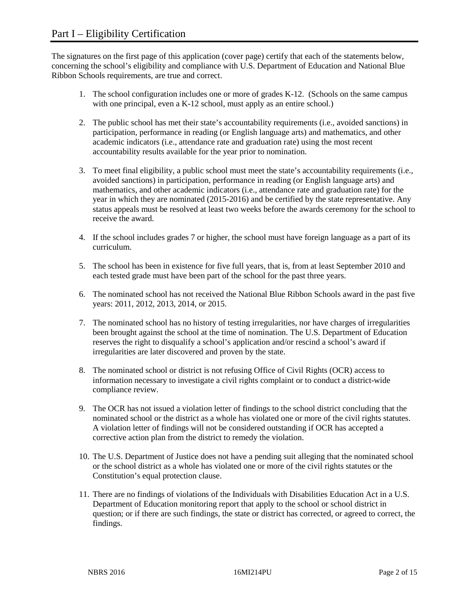The signatures on the first page of this application (cover page) certify that each of the statements below, concerning the school's eligibility and compliance with U.S. Department of Education and National Blue Ribbon Schools requirements, are true and correct.

- 1. The school configuration includes one or more of grades K-12. (Schools on the same campus with one principal, even a K-12 school, must apply as an entire school.)
- 2. The public school has met their state's accountability requirements (i.e., avoided sanctions) in participation, performance in reading (or English language arts) and mathematics, and other academic indicators (i.e., attendance rate and graduation rate) using the most recent accountability results available for the year prior to nomination.
- 3. To meet final eligibility, a public school must meet the state's accountability requirements (i.e., avoided sanctions) in participation, performance in reading (or English language arts) and mathematics, and other academic indicators (i.e., attendance rate and graduation rate) for the year in which they are nominated (2015-2016) and be certified by the state representative. Any status appeals must be resolved at least two weeks before the awards ceremony for the school to receive the award.
- 4. If the school includes grades 7 or higher, the school must have foreign language as a part of its curriculum.
- 5. The school has been in existence for five full years, that is, from at least September 2010 and each tested grade must have been part of the school for the past three years.
- 6. The nominated school has not received the National Blue Ribbon Schools award in the past five years: 2011, 2012, 2013, 2014, or 2015.
- 7. The nominated school has no history of testing irregularities, nor have charges of irregularities been brought against the school at the time of nomination. The U.S. Department of Education reserves the right to disqualify a school's application and/or rescind a school's award if irregularities are later discovered and proven by the state.
- 8. The nominated school or district is not refusing Office of Civil Rights (OCR) access to information necessary to investigate a civil rights complaint or to conduct a district-wide compliance review.
- 9. The OCR has not issued a violation letter of findings to the school district concluding that the nominated school or the district as a whole has violated one or more of the civil rights statutes. A violation letter of findings will not be considered outstanding if OCR has accepted a corrective action plan from the district to remedy the violation.
- 10. The U.S. Department of Justice does not have a pending suit alleging that the nominated school or the school district as a whole has violated one or more of the civil rights statutes or the Constitution's equal protection clause.
- 11. There are no findings of violations of the Individuals with Disabilities Education Act in a U.S. Department of Education monitoring report that apply to the school or school district in question; or if there are such findings, the state or district has corrected, or agreed to correct, the findings.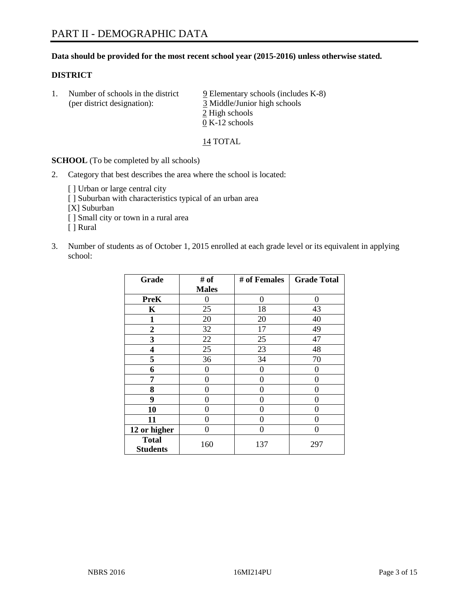#### **Data should be provided for the most recent school year (2015-2016) unless otherwise stated.**

#### **DISTRICT**

1. Number of schools in the district  $9$  Elementary schools (includes K-8) (per district designation): 3 Middle/Junior high schools 2 High schools 0 K-12 schools

14 TOTAL

**SCHOOL** (To be completed by all schools)

- 2. Category that best describes the area where the school is located:
	- [] Urban or large central city [ ] Suburban with characteristics typical of an urban area [X] Suburban [ ] Small city or town in a rural area [ ] Rural
- 3. Number of students as of October 1, 2015 enrolled at each grade level or its equivalent in applying school:

| Grade                           | # of         | # of Females | <b>Grade Total</b> |
|---------------------------------|--------------|--------------|--------------------|
|                                 | <b>Males</b> |              |                    |
| <b>PreK</b>                     | 0            | 0            | 0                  |
| K                               | 25           | 18           | 43                 |
| 1                               | 20           | 20           | 40                 |
| $\overline{2}$                  | 32           | 17           | 49                 |
| 3                               | 22           | 25           | 47                 |
| 4                               | 25           | 23           | 48                 |
| 5                               | 36           | 34           | 70                 |
| 6                               | 0            | 0            | $\theta$           |
| 7                               | 0            | $\theta$     | 0                  |
| 8                               | 0            | 0            | 0                  |
| 9                               | 0            | 0            | 0                  |
| 10                              | 0            | 0            | 0                  |
| 11                              | $\theta$     | 0            | $\theta$           |
| 12 or higher                    | 0            | 0            | 0                  |
| <b>Total</b><br><b>Students</b> | 160          | 137          | 297                |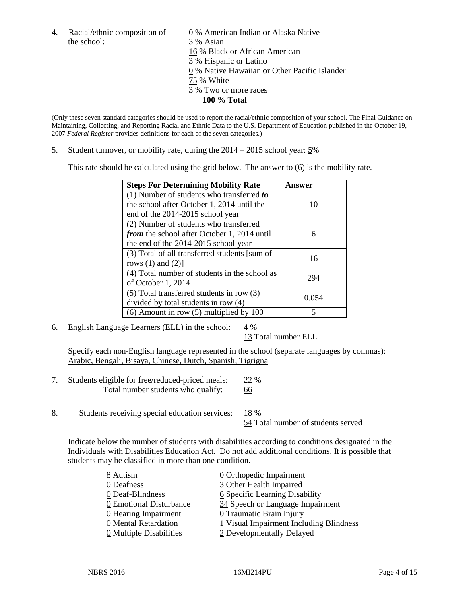the school: 3 % Asian

4. Racial/ethnic composition of  $\qquad \qquad \underline{0}$  % American Indian or Alaska Native 16 % Black or African American 3 % Hispanic or Latino 0 % Native Hawaiian or Other Pacific Islander 75 % White 3 % Two or more races **100 % Total**

(Only these seven standard categories should be used to report the racial/ethnic composition of your school. The Final Guidance on Maintaining, Collecting, and Reporting Racial and Ethnic Data to the U.S. Department of Education published in the October 19, 2007 *Federal Register* provides definitions for each of the seven categories.)

5. Student turnover, or mobility rate, during the 2014 – 2015 school year: 5%

This rate should be calculated using the grid below. The answer to (6) is the mobility rate.

| <b>Steps For Determining Mobility Rate</b>         | Answer |  |
|----------------------------------------------------|--------|--|
| (1) Number of students who transferred to          |        |  |
| the school after October 1, 2014 until the         | 10     |  |
| end of the 2014-2015 school year                   |        |  |
| (2) Number of students who transferred             |        |  |
| <i>from</i> the school after October 1, 2014 until | 6      |  |
| the end of the 2014-2015 school year               |        |  |
| (3) Total of all transferred students [sum of      | 16     |  |
| rows $(1)$ and $(2)$ ]                             |        |  |
| (4) Total number of students in the school as      | 294    |  |
| of October 1, 2014                                 |        |  |
| $(5)$ Total transferred students in row $(3)$      | 0.054  |  |
| divided by total students in row (4)               |        |  |
| $(6)$ Amount in row $(5)$ multiplied by 100        | 5      |  |

6. English Language Learners (ELL) in the school:  $4\%$ 

13 Total number ELL

Specify each non-English language represented in the school (separate languages by commas): Arabic, Bengali, Bisaya, Chinese, Dutch, Spanish, Tigrigna

- 7. Students eligible for free/reduced-priced meals: 22 % Total number students who qualify: 66
- 8. Students receiving special education services: 18 %

54 Total number of students served

Indicate below the number of students with disabilities according to conditions designated in the Individuals with Disabilities Education Act. Do not add additional conditions. It is possible that students may be classified in more than one condition.

| 8 Autism                              | 0 Orthopedic Impairment                 |
|---------------------------------------|-----------------------------------------|
| 0 Deafness                            | 3 Other Health Impaired                 |
| 0 Deaf-Blindness                      | 6 Specific Learning Disability          |
| 0 Emotional Disturbance               | 34 Speech or Language Impairment        |
| 0 Hearing Impairment                  | 0 Traumatic Brain Injury                |
| 0 Mental Retardation                  | 1 Visual Impairment Including Blindness |
| $\underline{0}$ Multiple Disabilities | 2 Developmentally Delayed               |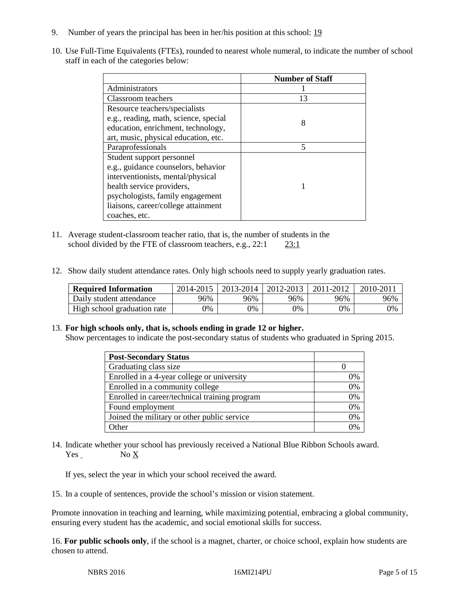- 9. Number of years the principal has been in her/his position at this school: 19
- 10. Use Full-Time Equivalents (FTEs), rounded to nearest whole numeral, to indicate the number of school staff in each of the categories below:

|                                       | <b>Number of Staff</b> |
|---------------------------------------|------------------------|
| Administrators                        |                        |
| Classroom teachers                    | 13                     |
| Resource teachers/specialists         |                        |
| e.g., reading, math, science, special | 8                      |
| education, enrichment, technology,    |                        |
| art, music, physical education, etc.  |                        |
| Paraprofessionals                     | 5                      |
| Student support personnel             |                        |
| e.g., guidance counselors, behavior   |                        |
| interventionists, mental/physical     |                        |
| health service providers,             |                        |
| psychologists, family engagement      |                        |
| liaisons, career/college attainment   |                        |
| coaches, etc.                         |                        |

- 11. Average student-classroom teacher ratio, that is, the number of students in the school divided by the FTE of classroom teachers, e.g., 22:1 23:1
- 12. Show daily student attendance rates. Only high schools need to supply yearly graduation rates.

| <b>Required Information</b> | 2014-2015 | $2013 - 2014$ | $\mid$ 2012-2013 | 2011-2012 | $2010 - 201$ |
|-----------------------------|-----------|---------------|------------------|-----------|--------------|
| Daily student attendance    | 96%       | 96%           | 96%              | 96%       | 96%          |
| High school graduation rate | 9%        | 0%            | 0%               | 9%        | 0%           |

#### 13. **For high schools only, that is, schools ending in grade 12 or higher.**

Show percentages to indicate the post-secondary status of students who graduated in Spring 2015.

| <b>Post-Secondary Status</b>                  |    |
|-----------------------------------------------|----|
| Graduating class size                         |    |
| Enrolled in a 4-year college or university    | 0% |
| Enrolled in a community college               | 0% |
| Enrolled in career/technical training program | 0% |
| Found employment                              | 0% |
| Joined the military or other public service   | 0% |
| Other                                         | 0/ |

14. Indicate whether your school has previously received a National Blue Ribbon Schools award. Yes No X

If yes, select the year in which your school received the award.

15. In a couple of sentences, provide the school's mission or vision statement.

Promote innovation in teaching and learning, while maximizing potential, embracing a global community, ensuring every student has the academic, and social emotional skills for success.

16. **For public schools only**, if the school is a magnet, charter, or choice school, explain how students are chosen to attend.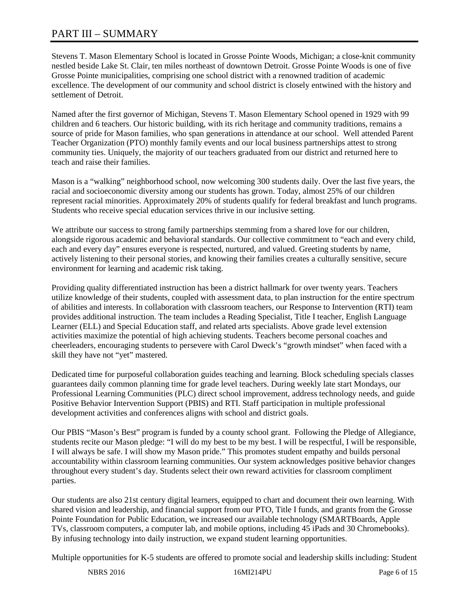# PART III – SUMMARY

Stevens T. Mason Elementary School is located in Grosse Pointe Woods, Michigan; a close-knit community nestled beside Lake St. Clair, ten miles northeast of downtown Detroit. Grosse Pointe Woods is one of five Grosse Pointe municipalities, comprising one school district with a renowned tradition of academic excellence. The development of our community and school district is closely entwined with the history and settlement of Detroit.

Named after the first governor of Michigan, Stevens T. Mason Elementary School opened in 1929 with 99 children and 6 teachers. Our historic building, with its rich heritage and community traditions, remains a source of pride for Mason families, who span generations in attendance at our school. Well attended Parent Teacher Organization (PTO) monthly family events and our local business partnerships attest to strong community ties. Uniquely, the majority of our teachers graduated from our district and returned here to teach and raise their families.

Mason is a "walking" neighborhood school, now welcoming 300 students daily. Over the last five years, the racial and socioeconomic diversity among our students has grown. Today, almost 25% of our children represent racial minorities. Approximately 20% of students qualify for federal breakfast and lunch programs. Students who receive special education services thrive in our inclusive setting.

We attribute our success to strong family partnerships stemming from a shared love for our children, alongside rigorous academic and behavioral standards. Our collective commitment to "each and every child, each and every day" ensures everyone is respected, nurtured, and valued. Greeting students by name, actively listening to their personal stories, and knowing their families creates a culturally sensitive, secure environment for learning and academic risk taking.

Providing quality differentiated instruction has been a district hallmark for over twenty years. Teachers utilize knowledge of their students, coupled with assessment data, to plan instruction for the entire spectrum of abilities and interests. In collaboration with classroom teachers, our Response to Intervention (RTI) team provides additional instruction. The team includes a Reading Specialist, Title I teacher, English Language Learner (ELL) and Special Education staff, and related arts specialists. Above grade level extension activities maximize the potential of high achieving students. Teachers become personal coaches and cheerleaders, encouraging students to persevere with Carol Dweck's "growth mindset" when faced with a skill they have not "yet" mastered.

Dedicated time for purposeful collaboration guides teaching and learning. Block scheduling specials classes guarantees daily common planning time for grade level teachers. During weekly late start Mondays, our Professional Learning Communities (PLC) direct school improvement, address technology needs, and guide Positive Behavior Intervention Support (PBIS) and RTI. Staff participation in multiple professional development activities and conferences aligns with school and district goals.

Our PBIS "Mason's Best" program is funded by a county school grant. Following the Pledge of Allegiance, students recite our Mason pledge: "I will do my best to be my best. I will be respectful, I will be responsible, I will always be safe. I will show my Mason pride." This promotes student empathy and builds personal accountability within classroom learning communities. Our system acknowledges positive behavior changes throughout every student's day. Students select their own reward activities for classroom compliment parties.

Our students are also 21st century digital learners, equipped to chart and document their own learning. With shared vision and leadership, and financial support from our PTO, Title I funds, and grants from the Grosse Pointe Foundation for Public Education, we increased our available technology (SMARTBoards, Apple TVs, classroom computers, a computer lab, and mobile options, including 45 iPads and 30 Chromebooks). By infusing technology into daily instruction, we expand student learning opportunities.

Multiple opportunities for K-5 students are offered to promote social and leadership skills including: Student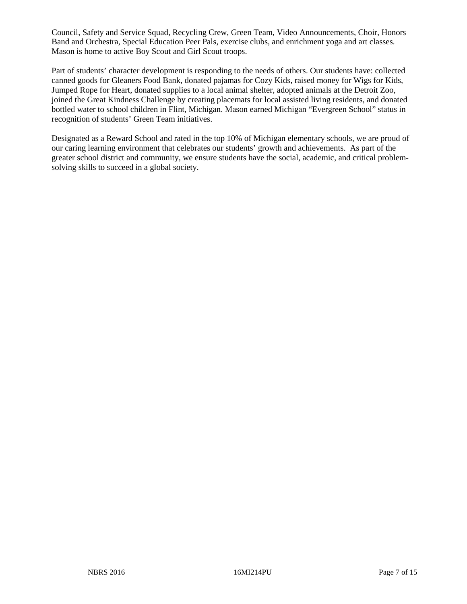Council, Safety and Service Squad, Recycling Crew, Green Team, Video Announcements, Choir, Honors Band and Orchestra, Special Education Peer Pals, exercise clubs, and enrichment yoga and art classes. Mason is home to active Boy Scout and Girl Scout troops.

Part of students' character development is responding to the needs of others. Our students have: collected canned goods for Gleaners Food Bank, donated pajamas for Cozy Kids, raised money for Wigs for Kids, Jumped Rope for Heart, donated supplies to a local animal shelter, adopted animals at the Detroit Zoo, joined the Great Kindness Challenge by creating placemats for local assisted living residents, and donated bottled water to school children in Flint, Michigan. Mason earned Michigan "Evergreen School" status in recognition of students' Green Team initiatives.

Designated as a Reward School and rated in the top 10% of Michigan elementary schools, we are proud of our caring learning environment that celebrates our students' growth and achievements. As part of the greater school district and community, we ensure students have the social, academic, and critical problemsolving skills to succeed in a global society.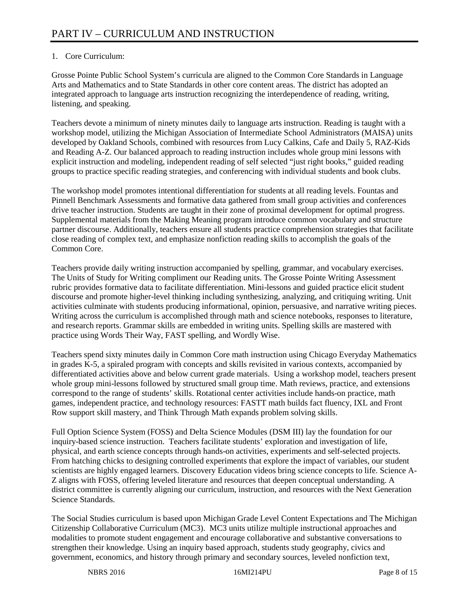# 1. Core Curriculum:

Grosse Pointe Public School System's curricula are aligned to the Common Core Standards in Language Arts and Mathematics and to State Standards in other core content areas. The district has adopted an integrated approach to language arts instruction recognizing the interdependence of reading, writing, listening, and speaking.

Teachers devote a minimum of ninety minutes daily to language arts instruction. Reading is taught with a workshop model, utilizing the Michigan Association of Intermediate School Administrators (MAISA) units developed by Oakland Schools, combined with resources from Lucy Calkins, Cafe and Daily 5, RAZ-Kids and Reading A-Z. Our balanced approach to reading instruction includes whole group mini lessons with explicit instruction and modeling, independent reading of self selected "just right books," guided reading groups to practice specific reading strategies, and conferencing with individual students and book clubs.

The workshop model promotes intentional differentiation for students at all reading levels. Fountas and Pinnell Benchmark Assessments and formative data gathered from small group activities and conferences drive teacher instruction. Students are taught in their zone of proximal development for optimal progress. Supplemental materials from the Making Meaning program introduce common vocabulary and structure partner discourse. Additionally, teachers ensure all students practice comprehension strategies that facilitate close reading of complex text, and emphasize nonfiction reading skills to accomplish the goals of the Common Core.

Teachers provide daily writing instruction accompanied by spelling, grammar, and vocabulary exercises. The Units of Study for Writing compliment our Reading units. The Grosse Pointe Writing Assessment rubric provides formative data to facilitate differentiation. Mini-lessons and guided practice elicit student discourse and promote higher-level thinking including synthesizing, analyzing, and critiquing writing. Unit activities culminate with students producing informational, opinion, persuasive, and narrative writing pieces. Writing across the curriculum is accomplished through math and science notebooks, responses to literature, and research reports. Grammar skills are embedded in writing units. Spelling skills are mastered with practice using Words Their Way, FAST spelling, and Wordly Wise.

Teachers spend sixty minutes daily in Common Core math instruction using Chicago Everyday Mathematics in grades K-5, a spiraled program with concepts and skills revisited in various contexts, accompanied by differentiated activities above and below current grade materials. Using a workshop model, teachers present whole group mini-lessons followed by structured small group time. Math reviews, practice, and extensions correspond to the range of students' skills. Rotational center activities include hands-on practice, math games, independent practice, and technology resources: FASTT math builds fact fluency, IXL and Front Row support skill mastery, and Think Through Math expands problem solving skills.

Full Option Science System (FOSS) and Delta Science Modules (DSM III) lay the foundation for our inquiry-based science instruction. Teachers facilitate students' exploration and investigation of life, physical, and earth science concepts through hands-on activities, experiments and self-selected projects. From hatching chicks to designing controlled experiments that explore the impact of variables, our student scientists are highly engaged learners. Discovery Education videos bring science concepts to life. Science A-Z aligns with FOSS, offering leveled literature and resources that deepen conceptual understanding. A district committee is currently aligning our curriculum, instruction, and resources with the Next Generation Science Standards.

The Social Studies curriculum is based upon Michigan Grade Level Content Expectations and The Michigan Citizenship Collaborative Curriculum (MC3). MC3 units utilize multiple instructional approaches and modalities to promote student engagement and encourage collaborative and substantive conversations to strengthen their knowledge. Using an inquiry based approach, students study geography, civics and government, economics, and history through primary and secondary sources, leveled nonfiction text,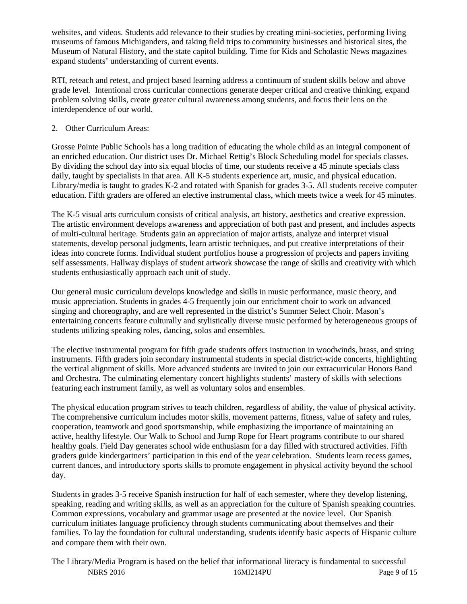websites, and videos. Students add relevance to their studies by creating mini-societies, performing living museums of famous Michiganders, and taking field trips to community businesses and historical sites, the Museum of Natural History, and the state capitol building. Time for Kids and Scholastic News magazines expand students' understanding of current events.

RTI, reteach and retest, and project based learning address a continuum of student skills below and above grade level. Intentional cross curricular connections generate deeper critical and creative thinking, expand problem solving skills, create greater cultural awareness among students, and focus their lens on the interdependence of our world.

## 2. Other Curriculum Areas:

Grosse Pointe Public Schools has a long tradition of educating the whole child as an integral component of an enriched education. Our district uses Dr. Michael Rettig's Block Scheduling model for specials classes. By dividing the school day into six equal blocks of time, our students receive a 45 minute specials class daily, taught by specialists in that area. All K-5 students experience art, music, and physical education. Library/media is taught to grades K-2 and rotated with Spanish for grades 3-5. All students receive computer education. Fifth graders are offered an elective instrumental class, which meets twice a week for 45 minutes.

The K-5 visual arts curriculum consists of critical analysis, art history, aesthetics and creative expression. The artistic environment develops awareness and appreciation of both past and present, and includes aspects of multi-cultural heritage. Students gain an appreciation of major artists, analyze and interpret visual statements, develop personal judgments, learn artistic techniques, and put creative interpretations of their ideas into concrete forms. Individual student portfolios house a progression of projects and papers inviting self assessments. Hallway displays of student artwork showcase the range of skills and creativity with which students enthusiastically approach each unit of study.

Our general music curriculum develops knowledge and skills in music performance, music theory, and music appreciation. Students in grades 4-5 frequently join our enrichment choir to work on advanced singing and choreography, and are well represented in the district's Summer Select Choir. Mason's entertaining concerts feature culturally and stylistically diverse music performed by heterogeneous groups of students utilizing speaking roles, dancing, solos and ensembles.

The elective instrumental program for fifth grade students offers instruction in woodwinds, brass, and string instruments. Fifth graders join secondary instrumental students in special district-wide concerts, highlighting the vertical alignment of skills. More advanced students are invited to join our extracurricular Honors Band and Orchestra. The culminating elementary concert highlights students' mastery of skills with selections featuring each instrument family, as well as voluntary solos and ensembles.

The physical education program strives to teach children, regardless of ability, the value of physical activity. The comprehensive curriculum includes motor skills, movement patterns, fitness, value of safety and rules, cooperation, teamwork and good sportsmanship, while emphasizing the importance of maintaining an active, healthy lifestyle. Our Walk to School and Jump Rope for Heart programs contribute to our shared healthy goals. Field Day generates school wide enthusiasm for a day filled with structured activities. Fifth graders guide kindergartners' participation in this end of the year celebration. Students learn recess games, current dances, and introductory sports skills to promote engagement in physical activity beyond the school day.

Students in grades 3-5 receive Spanish instruction for half of each semester, where they develop listening, speaking, reading and writing skills, as well as an appreciation for the culture of Spanish speaking countries. Common expressions, vocabulary and grammar usage are presented at the novice level. Our Spanish curriculum initiates language proficiency through students communicating about themselves and their families. To lay the foundation for cultural understanding, students identify basic aspects of Hispanic culture and compare them with their own.

NBRS 2016 **16MI214PU** Page 9 of 15 The Library/Media Program is based on the belief that informational literacy is fundamental to successful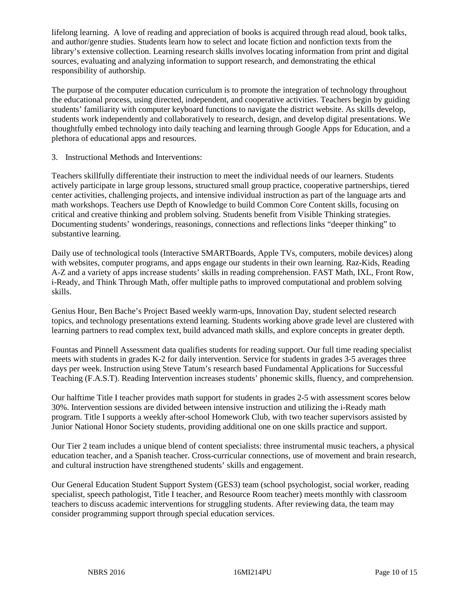lifelong learning. A love of reading and appreciation of books is acquired through read aloud, book talks, and author/genre studies. Students learn how to select and locate fiction and nonfiction texts from the library's extensive collection. Learning research skills involves locating information from print and digital sources, evaluating and analyzing information to support research, and demonstrating the ethical responsibility of authorship.

The purpose of the computer education curriculum is to promote the integration of technology throughout the educational process, using directed, independent, and cooperative activities. Teachers begin by guiding students' familiarity with computer keyboard functions to navigate the district website. As skills develop, students work independently and collaboratively to research, design, and develop digital presentations. We thoughtfully embed technology into daily teaching and learning through Google Apps for Education, and a plethora of educational apps and resources.

3. Instructional Methods and Interventions:

Teachers skillfully differentiate their instruction to meet the individual needs of our learners. Students actively participate in large group lessons, structured small group practice, cooperative partnerships, tiered center activities, challenging projects, and intensive individual instruction as part of the language arts and math workshops. Teachers use Depth of Knowledge to build Common Core Content skills, focusing on critical and creative thinking and problem solving. Students benefit from Visible Thinking strategies. Documenting students' wonderings, reasonings, connections and reflections links "deeper thinking" to substantive learning.

Daily use of technological tools (Interactive SMARTBoards, Apple TVs, computers, mobile devices) along with websites, computer programs, and apps engage our students in their own learning. Raz-Kids, Reading A-Z and a variety of apps increase students' skills in reading comprehension. FAST Math, IXL, Front Row, i-Ready, and Think Through Math, offer multiple paths to improved computational and problem solving skills.

Genius Hour, Ben Bache's Project Based weekly warm-ups, Innovation Day, student selected research topics, and technology presentations extend learning. Students working above grade level are clustered with learning partners to read complex text, build advanced math skills, and explore concepts in greater depth.

Fountas and Pinnell Assessment data qualifies students for reading support. Our full time reading specialist meets with students in grades K-2 for daily intervention. Service for students in grades 3-5 averages three days per week. Instruction using Steve Tatum's research based Fundamental Applications for Successful Teaching (F.A.S.T). Reading Intervention increases students' phonemic skills, fluency, and comprehension.

Our halftime Title I teacher provides math support for students in grades 2-5 with assessment scores below 30%. Intervention sessions are divided between intensive instruction and utilizing the i-Ready math program. Title I supports a weekly after-school Homework Club, with two teacher supervisors assisted by Junior National Honor Society students, providing additional one on one skills practice and support.

Our Tier 2 team includes a unique blend of content specialists: three instrumental music teachers, a physical education teacher, and a Spanish teacher. Cross-curricular connections, use of movement and brain research, and cultural instruction have strengthened students' skills and engagement.

Our General Education Student Support System (GES3) team (school psychologist, social worker, reading specialist, speech pathologist, Title I teacher, and Resource Room teacher) meets monthly with classroom teachers to discuss academic interventions for struggling students. After reviewing data, the team may consider programming support through special education services.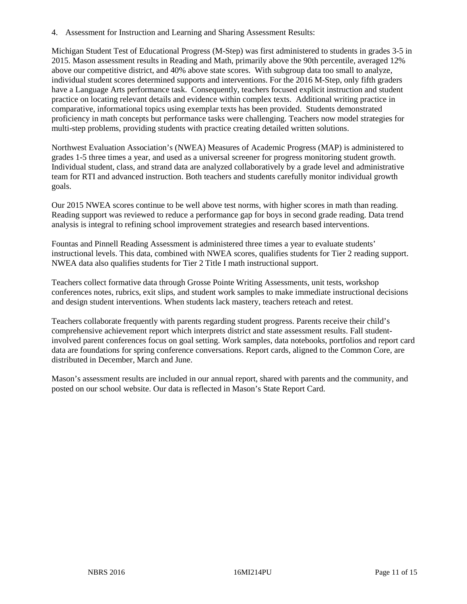4. Assessment for Instruction and Learning and Sharing Assessment Results:

Michigan Student Test of Educational Progress (M-Step) was first administered to students in grades 3-5 in 2015. Mason assessment results in Reading and Math, primarily above the 90th percentile, averaged 12% above our competitive district, and 40% above state scores. With subgroup data too small to analyze, individual student scores determined supports and interventions. For the 2016 M-Step, only fifth graders have a Language Arts performance task. Consequently, teachers focused explicit instruction and student practice on locating relevant details and evidence within complex texts. Additional writing practice in comparative, informational topics using exemplar texts has been provided. Students demonstrated proficiency in math concepts but performance tasks were challenging. Teachers now model strategies for multi-step problems, providing students with practice creating detailed written solutions.

Northwest Evaluation Association's (NWEA) Measures of Academic Progress (MAP) is administered to grades 1-5 three times a year, and used as a universal screener for progress monitoring student growth. Individual student, class, and strand data are analyzed collaboratively by a grade level and administrative team for RTI and advanced instruction. Both teachers and students carefully monitor individual growth goals.

Our 2015 NWEA scores continue to be well above test norms, with higher scores in math than reading. Reading support was reviewed to reduce a performance gap for boys in second grade reading. Data trend analysis is integral to refining school improvement strategies and research based interventions.

Fountas and Pinnell Reading Assessment is administered three times a year to evaluate students' instructional levels. This data, combined with NWEA scores, qualifies students for Tier 2 reading support. NWEA data also qualifies students for Tier 2 Title I math instructional support.

Teachers collect formative data through Grosse Pointe Writing Assessments, unit tests, workshop conferences notes, rubrics, exit slips, and student work samples to make immediate instructional decisions and design student interventions. When students lack mastery, teachers reteach and retest.

Teachers collaborate frequently with parents regarding student progress. Parents receive their child's comprehensive achievement report which interprets district and state assessment results. Fall studentinvolved parent conferences focus on goal setting. Work samples, data notebooks, portfolios and report card data are foundations for spring conference conversations. Report cards, aligned to the Common Core, are distributed in December, March and June.

Mason's assessment results are included in our annual report, shared with parents and the community, and posted on our school website. Our data is reflected in Mason's State Report Card.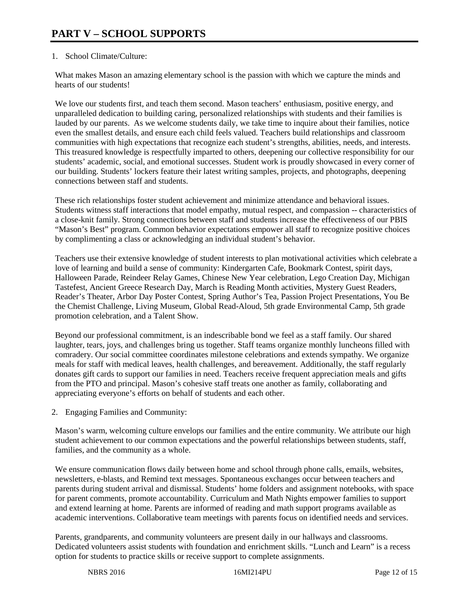## 1. School Climate/Culture:

What makes Mason an amazing elementary school is the passion with which we capture the minds and hearts of our students!

We love our students first, and teach them second. Mason teachers' enthusiasm, positive energy, and unparalleled dedication to building caring, personalized relationships with students and their families is lauded by our parents. As we welcome students daily, we take time to inquire about their families, notice even the smallest details, and ensure each child feels valued. Teachers build relationships and classroom communities with high expectations that recognize each student's strengths, abilities, needs, and interests. This treasured knowledge is respectfully imparted to others, deepening our collective responsibility for our students' academic, social, and emotional successes. Student work is proudly showcased in every corner of our building. Students' lockers feature their latest writing samples, projects, and photographs, deepening connections between staff and students.

These rich relationships foster student achievement and minimize attendance and behavioral issues. Students witness staff interactions that model empathy, mutual respect, and compassion -- characteristics of a close-knit family. Strong connections between staff and students increase the effectiveness of our PBIS "Mason's Best" program. Common behavior expectations empower all staff to recognize positive choices by complimenting a class or acknowledging an individual student's behavior.

Teachers use their extensive knowledge of student interests to plan motivational activities which celebrate a love of learning and build a sense of community: Kindergarten Cafe, Bookmark Contest, spirit days, Halloween Parade, Reindeer Relay Games, Chinese New Year celebration, Lego Creation Day, Michigan Tastefest, Ancient Greece Research Day, March is Reading Month activities, Mystery Guest Readers, Reader's Theater, Arbor Day Poster Contest, Spring Author's Tea, Passion Project Presentations, You Be the Chemist Challenge, Living Museum, Global Read-Aloud, 5th grade Environmental Camp, 5th grade promotion celebration, and a Talent Show.

Beyond our professional commitment, is an indescribable bond we feel as a staff family. Our shared laughter, tears, joys, and challenges bring us together. Staff teams organize monthly luncheons filled with comradery. Our social committee coordinates milestone celebrations and extends sympathy. We organize meals for staff with medical leaves, health challenges, and bereavement. Additionally, the staff regularly donates gift cards to support our families in need. Teachers receive frequent appreciation meals and gifts from the PTO and principal. Mason's cohesive staff treats one another as family, collaborating and appreciating everyone's efforts on behalf of students and each other.

2. Engaging Families and Community:

Mason's warm, welcoming culture envelops our families and the entire community. We attribute our high student achievement to our common expectations and the powerful relationships between students, staff, families, and the community as a whole.

We ensure communication flows daily between home and school through phone calls, emails, websites, newsletters, e-blasts, and Remind text messages. Spontaneous exchanges occur between teachers and parents during student arrival and dismissal. Students' home folders and assignment notebooks, with space for parent comments, promote accountability. Curriculum and Math Nights empower families to support and extend learning at home. Parents are informed of reading and math support programs available as academic interventions. Collaborative team meetings with parents focus on identified needs and services.

Parents, grandparents, and community volunteers are present daily in our hallways and classrooms. Dedicated volunteers assist students with foundation and enrichment skills. "Lunch and Learn" is a recess option for students to practice skills or receive support to complete assignments.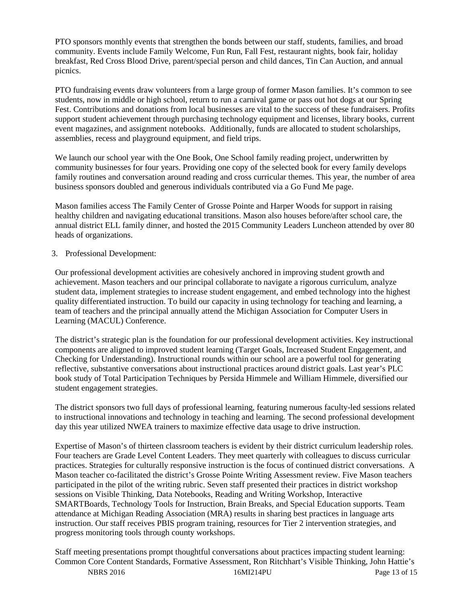PTO sponsors monthly events that strengthen the bonds between our staff, students, families, and broad community. Events include Family Welcome, Fun Run, Fall Fest, restaurant nights, book fair, holiday breakfast, Red Cross Blood Drive, parent/special person and child dances, Tin Can Auction, and annual picnics.

PTO fundraising events draw volunteers from a large group of former Mason families. It's common to see students, now in middle or high school, return to run a carnival game or pass out hot dogs at our Spring Fest. Contributions and donations from local businesses are vital to the success of these fundraisers. Profits support student achievement through purchasing technology equipment and licenses, library books, current event magazines, and assignment notebooks. Additionally, funds are allocated to student scholarships, assemblies, recess and playground equipment, and field trips.

We launch our school year with the One Book, One School family reading project, underwritten by community businesses for four years. Providing one copy of the selected book for every family develops family routines and conversation around reading and cross curricular themes. This year, the number of area business sponsors doubled and generous individuals contributed via a Go Fund Me page.

Mason families access The Family Center of Grosse Pointe and Harper Woods for support in raising healthy children and navigating educational transitions. Mason also houses before/after school care, the annual district ELL family dinner, and hosted the 2015 Community Leaders Luncheon attended by over 80 heads of organizations.

#### 3. Professional Development:

Our professional development activities are cohesively anchored in improving student growth and achievement. Mason teachers and our principal collaborate to navigate a rigorous curriculum, analyze student data, implement strategies to increase student engagement, and embed technology into the highest quality differentiated instruction. To build our capacity in using technology for teaching and learning, a team of teachers and the principal annually attend the Michigan Association for Computer Users in Learning (MACUL) Conference.

The district's strategic plan is the foundation for our professional development activities. Key instructional components are aligned to improved student learning (Target Goals, Increased Student Engagement, and Checking for Understanding). Instructional rounds within our school are a powerful tool for generating reflective, substantive conversations about instructional practices around district goals. Last year's PLC book study of Total Participation Techniques by Persida Himmele and William Himmele, diversified our student engagement strategies.

The district sponsors two full days of professional learning, featuring numerous faculty-led sessions related to instructional innovations and technology in teaching and learning. The second professional development day this year utilized NWEA trainers to maximize effective data usage to drive instruction.

Expertise of Mason's of thirteen classroom teachers is evident by their district curriculum leadership roles. Four teachers are Grade Level Content Leaders. They meet quarterly with colleagues to discuss curricular practices. Strategies for culturally responsive instruction is the focus of continued district conversations. A Mason teacher co-facilitated the district's Grosse Pointe Writing Assessment review. Five Mason teachers participated in the pilot of the writing rubric. Seven staff presented their practices in district workshop sessions on Visible Thinking, Data Notebooks, Reading and Writing Workshop, Interactive SMARTBoards, Technology Tools for Instruction, Brain Breaks, and Special Education supports. Team attendance at Michigan Reading Association (MRA) results in sharing best practices in language arts instruction. Our staff receives PBIS program training, resources for Tier 2 intervention strategies, and progress monitoring tools through county workshops.

NBRS 2016 16MI214PU Page 13 of 15 Staff meeting presentations prompt thoughtful conversations about practices impacting student learning: Common Core Content Standards, Formative Assessment, Ron Ritchhart's Visible Thinking, John Hattie's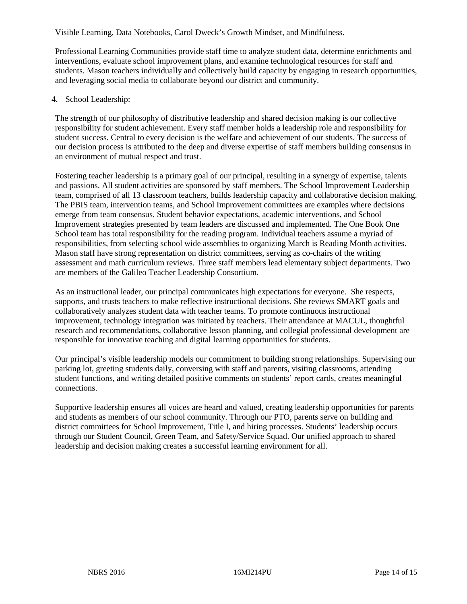#### Visible Learning, Data Notebooks, Carol Dweck's Growth Mindset, and Mindfulness.

Professional Learning Communities provide staff time to analyze student data, determine enrichments and interventions, evaluate school improvement plans, and examine technological resources for staff and students. Mason teachers individually and collectively build capacity by engaging in research opportunities, and leveraging social media to collaborate beyond our district and community.

#### 4. School Leadership:

The strength of our philosophy of distributive leadership and shared decision making is our collective responsibility for student achievement. Every staff member holds a leadership role and responsibility for student success. Central to every decision is the welfare and achievement of our students. The success of our decision process is attributed to the deep and diverse expertise of staff members building consensus in an environment of mutual respect and trust.

Fostering teacher leadership is a primary goal of our principal, resulting in a synergy of expertise, talents and passions. All student activities are sponsored by staff members. The School Improvement Leadership team, comprised of all 13 classroom teachers, builds leadership capacity and collaborative decision making. The PBIS team, intervention teams, and School Improvement committees are examples where decisions emerge from team consensus. Student behavior expectations, academic interventions, and School Improvement strategies presented by team leaders are discussed and implemented. The One Book One School team has total responsibility for the reading program. Individual teachers assume a myriad of responsibilities, from selecting school wide assemblies to organizing March is Reading Month activities. Mason staff have strong representation on district committees, serving as co-chairs of the writing assessment and math curriculum reviews. Three staff members lead elementary subject departments. Two are members of the Galileo Teacher Leadership Consortium.

As an instructional leader, our principal communicates high expectations for everyone. She respects, supports, and trusts teachers to make reflective instructional decisions. She reviews SMART goals and collaboratively analyzes student data with teacher teams. To promote continuous instructional improvement, technology integration was initiated by teachers. Their attendance at MACUL, thoughtful research and recommendations, collaborative lesson planning, and collegial professional development are responsible for innovative teaching and digital learning opportunities for students.

Our principal's visible leadership models our commitment to building strong relationships. Supervising our parking lot, greeting students daily, conversing with staff and parents, visiting classrooms, attending student functions, and writing detailed positive comments on students' report cards, creates meaningful connections.

Supportive leadership ensures all voices are heard and valued, creating leadership opportunities for parents and students as members of our school community. Through our PTO, parents serve on building and district committees for School Improvement, Title I, and hiring processes. Students' leadership occurs through our Student Council, Green Team, and Safety/Service Squad. Our unified approach to shared leadership and decision making creates a successful learning environment for all.